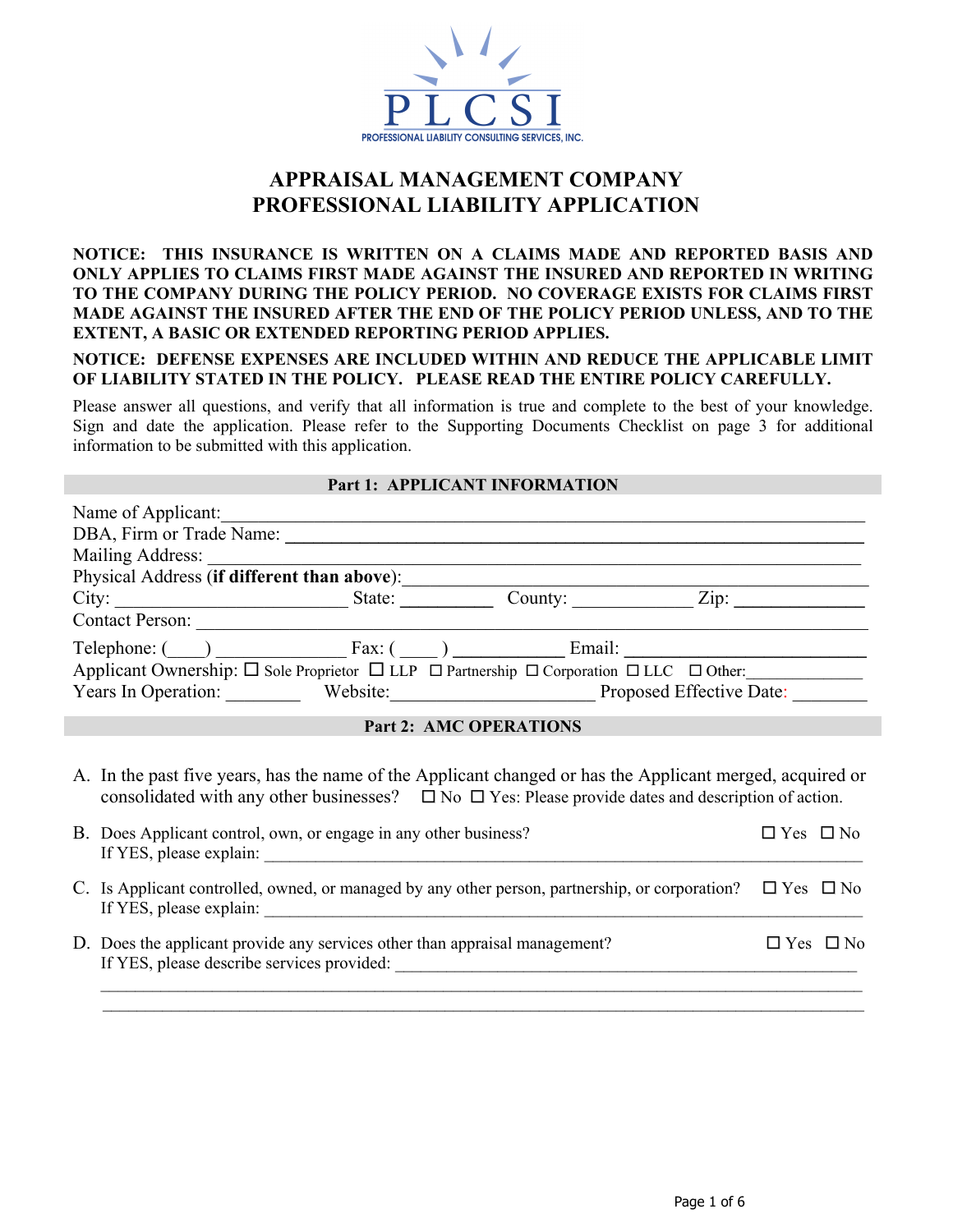

# **APPRAISAL MANAGEMENT COMPANY PROFESSIONAL LIABILITY APPLICATION**

## **NOTICE: THIS INSURANCE IS WRITTEN ON A CLAIMS MADE AND REPORTED BASIS AND ONLY APPLIES TO CLAIMS FIRST MADE AGAINST THE INSURED AND REPORTED IN WRITING TO THE COMPANY DURING THE POLICY PERIOD. NO COVERAGE EXISTS FOR CLAIMS FIRST MADE AGAINST THE INSURED AFTER THE END OF THE POLICY PERIOD UNLESS, AND TO THE EXTENT, A BASIC OR EXTENDED REPORTING PERIOD APPLIES.**

**NOTICE: DEFENSE EXPENSES ARE INCLUDED WITHIN AND REDUCE THE APPLICABLE LIMIT OF LIABILITY STATED IN THE POLICY. PLEASE READ THE ENTIRE POLICY CAREFULLY.** 

Please answer all questions, and verify that all information is true and complete to the best of your knowledge. Sign and date the application. Please refer to the Supporting Documents Checklist on page 3 for additional information to be submitted with this application.

#### **Part 1: APPLICANT INFORMATION**

| Name of Applicant:                          |        |                               |                                                                                                                                         |
|---------------------------------------------|--------|-------------------------------|-----------------------------------------------------------------------------------------------------------------------------------------|
| DBA, Firm or Trade Name:                    |        |                               |                                                                                                                                         |
| Mailing Address:                            |        |                               |                                                                                                                                         |
| Physical Address (if different than above): |        |                               |                                                                                                                                         |
| City:                                       | State: | County:                       | Zip:                                                                                                                                    |
| Contact Person:                             |        |                               |                                                                                                                                         |
| Telephone: () Fax: () Email:                |        |                               |                                                                                                                                         |
|                                             |        |                               | Applicant Ownership: $\square$ Sole Proprietor $\square$ LLP $\square$ Partnership $\square$ Corporation $\square$ LLC $\square$ Other: |
|                                             |        |                               | Years In Operation: Website: Proposed Effective Date:                                                                                   |
|                                             |        | <b>Part 2: AMC OPERATIONS</b> |                                                                                                                                         |

A. In the past five years, has the name of the Applicant changed or has the Applicant merged, acquired or consolidated with any other businesses?  $\Box$  No  $\Box$  Yes: Please provide dates and description of action.

| B. Does Applicant control, own, or engage in any other business?<br>If YES, please explain:                                                           | $\Box$ Yes $\Box$ No |                      |
|-------------------------------------------------------------------------------------------------------------------------------------------------------|----------------------|----------------------|
| C. Is Applicant controlled, owned, or managed by any other person, partnership, or corporation? $\square$ Yes $\square$ No<br>If YES, please explain: |                      |                      |
| D. Does the applicant provide any services other than appraisal management?<br>If YES, please describe services provided:                             |                      | $\Box$ Yes $\Box$ No |
|                                                                                                                                                       |                      |                      |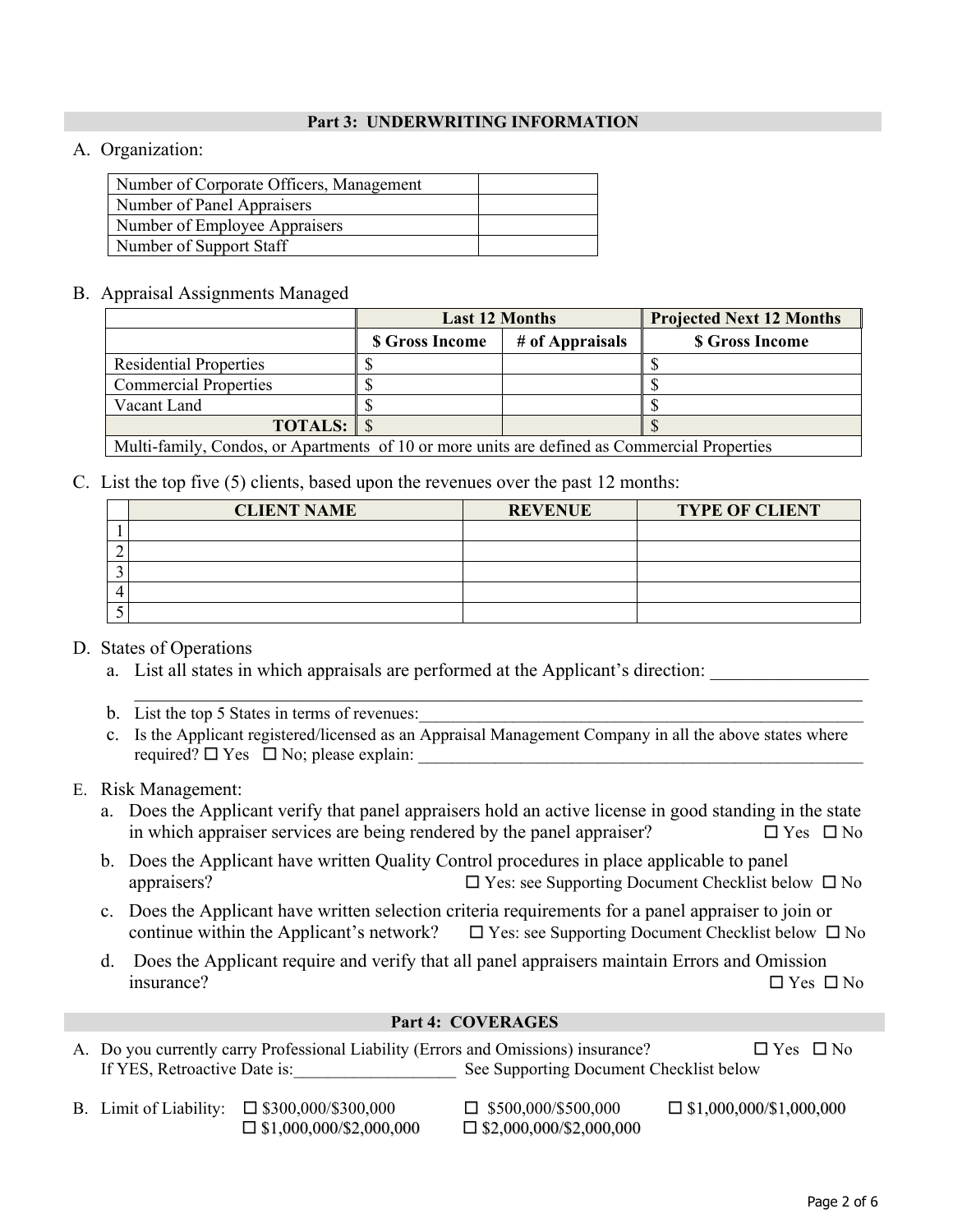## **Part 3: UNDERWRITING INFORMATION**

# A. Organization:

| Number of Corporate Officers, Management |  |
|------------------------------------------|--|
| Number of Panel Appraisers               |  |
| Number of Employee Appraisers            |  |
| Number of Support Staff                  |  |

## B. Appraisal Assignments Managed

|                                                                                            | <b>Last 12 Months</b>  |                 | <b>Projected Next 12 Months</b> |  |
|--------------------------------------------------------------------------------------------|------------------------|-----------------|---------------------------------|--|
|                                                                                            | <b>\$ Gross Income</b> | # of Appraisals | <b>\$ Gross Income</b>          |  |
| <b>Residential Properties</b>                                                              |                        |                 |                                 |  |
| <b>Commercial Properties</b>                                                               |                        |                 |                                 |  |
| Vacant Land                                                                                |                        |                 |                                 |  |
| <b>TOTALS:</b> $\$\$                                                                       |                        |                 |                                 |  |
| Multi-family Candes on Apartments of 10 or more units are defined as Commercial Dreparties |                        |                 |                                 |  |

Multi-family, Condos, or Apartments of 10 or more units are defined as Commercial Properties

# C. List the top five (5) clients, based upon the revenues over the past 12 months:

| <b>CLIENT NAME</b> | <b>REVENUE</b> | <b>TYPE OF CLIENT</b> |
|--------------------|----------------|-----------------------|
|                    |                |                       |
|                    |                |                       |
|                    |                |                       |
|                    |                |                       |
|                    |                |                       |

# D. States of Operations

- a. List all states in which appraisals are performed at the Applicant's direction:
- b. List the top 5 States in terms of revenues:
- c. Is the Applicant registered/licensed as an Appraisal Management Company in all the above states where required?  $\Box$  Yes  $\Box$  No; please explain:

 $\mathcal{L}_\mathcal{L} = \{ \mathcal{L}_\mathcal{L} = \{ \mathcal{L}_\mathcal{L} = \{ \mathcal{L}_\mathcal{L} = \{ \mathcal{L}_\mathcal{L} = \{ \mathcal{L}_\mathcal{L} = \{ \mathcal{L}_\mathcal{L} = \{ \mathcal{L}_\mathcal{L} = \{ \mathcal{L}_\mathcal{L} = \{ \mathcal{L}_\mathcal{L} = \{ \mathcal{L}_\mathcal{L} = \{ \mathcal{L}_\mathcal{L} = \{ \mathcal{L}_\mathcal{L} = \{ \mathcal{L}_\mathcal{L} = \{ \mathcal{L}_\mathcal{$ 

## E. Risk Management:

- a. Does the Applicant verify that panel appraisers hold an active license in good standing in the state in which appraiser services are being rendered by the panel appraiser?  $\square$  Yes  $\square$  No
- b. Does the Applicant have written Quality Control procedures in place applicable to panel appraisers?  $\Box$  Yes: see Supporting Document Checklist below  $\Box$  No
- c. Does the Applicant have written selection criteria requirements for a panel appraiser to join or continue within the Applicant's network?  $\Box$  Yes: see Supporting Document Checklist below  $\Box$  No
- d. Does the Applicant require and verify that all panel appraisers maintain Errors and Omission insurance?  $\Box$  Yes  $\Box$  No

## **Part 4: COVERAGES**

- A. Do you currently carry Professional Liability (Errors and Omissions) insurance?  $\square$  Yes  $\square$  No If YES, Retroactive Date is:\_\_\_\_\_\_\_\_\_\_\_\_\_\_\_\_\_\_\_\_\_\_\_\_ See Supporting Document Checklist below
- B. Limit of Liability:  $\Box$  \$300,000/\$300,000  $\Box$  \$500,000/\$500,000  $\Box$  \$1,000,000/\$1,000,000  $\Box$  \$1,000,000/\$2,000,000  $\Box$  \$2,000,000/\$2,000,000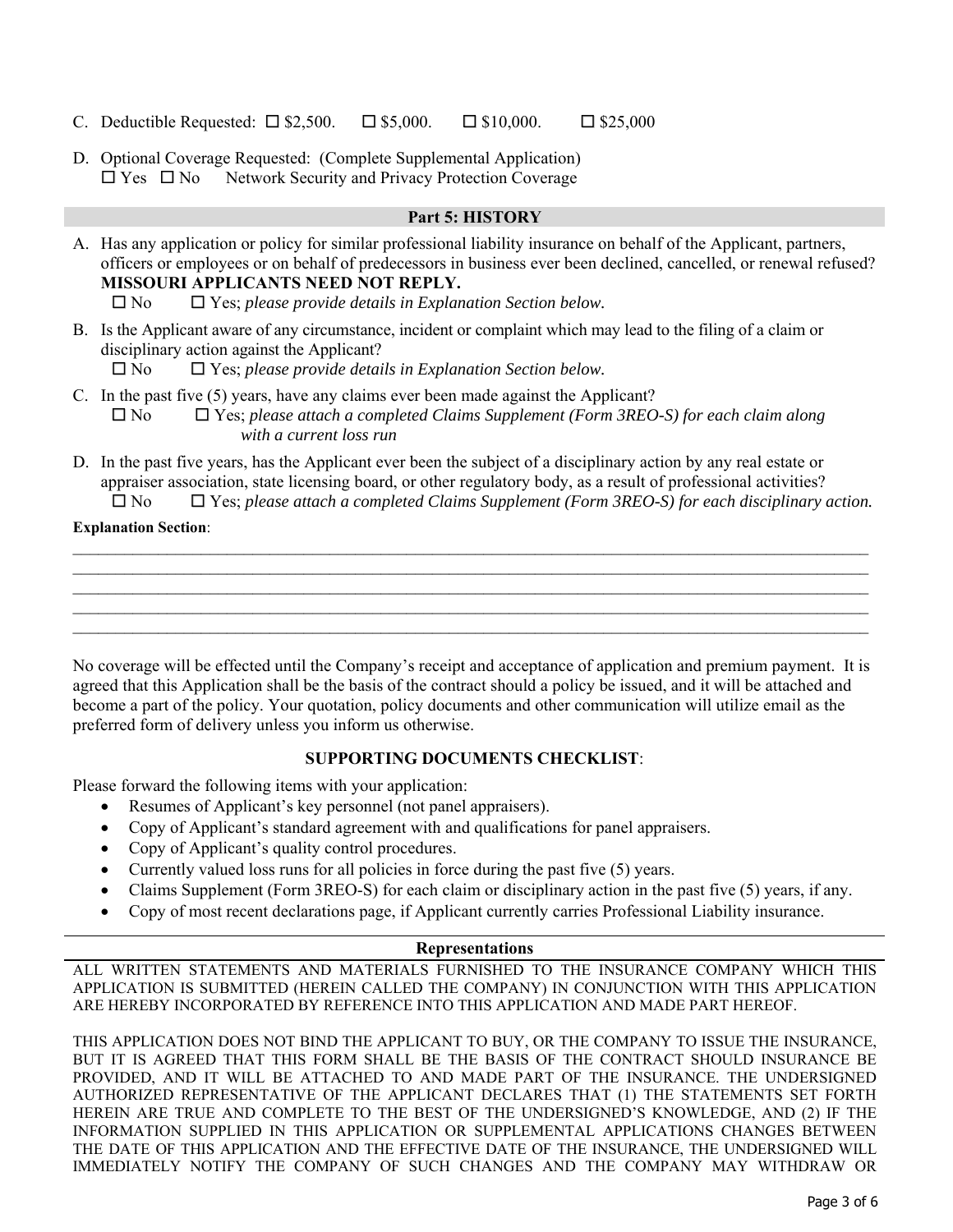- C. Deductible Requested:  $\square$  \$2,500.  $\square$  \$5,000.  $\square$  \$10,000.  $\square$  \$25,000
- D. Optional Coverage Requested: (Complete Supplemental Application)  $\Box$  Yes  $\Box$  No Network Security and Privacy Protection Coverage

#### **Part 5: HISTORY**

A. Has any application or policy for similar professional liability insurance on behalf of the Applicant, partners, officers or employees or on behalf of predecessors in business ever been declined, cancelled, or renewal refused? **MISSOURI APPLICANTS NEED NOT REPLY.** 

No Yes; *please provide details in Explanation Section below.* 

B. Is the Applicant aware of any circumstance, incident or complaint which may lead to the filing of a claim or disciplinary action against the Applicant?

No Yes; *please provide details in Explanation Section below.* 

- C. In the past five (5) years, have any claims ever been made against the Applicant? No Yes; *please attach a completed Claims Supplement (Form 3REO-S) for each claim along with a current loss run*
- D. In the past five years, has the Applicant ever been the subject of a disciplinary action by any real estate or appraiser association, state licensing board, or other regulatory body, as a result of professional activities? No Yes; *please attach a completed Claims Supplement (Form 3REO-S) for each disciplinary action.*

#### **Explanation Section**:

No coverage will be effected until the Company's receipt and acceptance of application and premium payment. It is agreed that this Application shall be the basis of the contract should a policy be issued, and it will be attached and become a part of the policy. Your quotation, policy documents and other communication will utilize email as the preferred form of delivery unless you inform us otherwise.

## **SUPPORTING DOCUMENTS CHECKLIST**:

Please forward the following items with your application:

- Resumes of Applicant's key personnel (not panel appraisers).
- Copy of Applicant's standard agreement with and qualifications for panel appraisers.
- Copy of Applicant's quality control procedures.
- Currently valued loss runs for all policies in force during the past five (5) years.
- Claims Supplement (Form 3REO-S) for each claim or disciplinary action in the past five (5) years, if any.
- Copy of most recent declarations page, if Applicant currently carries Professional Liability insurance.

## **Representations**

ALL WRITTEN STATEMENTS AND MATERIALS FURNISHED TO THE INSURANCE COMPANY WHICH THIS APPLICATION IS SUBMITTED (HEREIN CALLED THE COMPANY) IN CONJUNCTION WITH THIS APPLICATION ARE HEREBY INCORPORATED BY REFERENCE INTO THIS APPLICATION AND MADE PART HEREOF.

THIS APPLICATION DOES NOT BIND THE APPLICANT TO BUY, OR THE COMPANY TO ISSUE THE INSURANCE, BUT IT IS AGREED THAT THIS FORM SHALL BE THE BASIS OF THE CONTRACT SHOULD INSURANCE BE PROVIDED, AND IT WILL BE ATTACHED TO AND MADE PART OF THE INSURANCE. THE UNDERSIGNED AUTHORIZED REPRESENTATIVE OF THE APPLICANT DECLARES THAT (1) THE STATEMENTS SET FORTH HEREIN ARE TRUE AND COMPLETE TO THE BEST OF THE UNDERSIGNED'S KNOWLEDGE, AND (2) IF THE INFORMATION SUPPLIED IN THIS APPLICATION OR SUPPLEMENTAL APPLICATIONS CHANGES BETWEEN THE DATE OF THIS APPLICATION AND THE EFFECTIVE DATE OF THE INSURANCE, THE UNDERSIGNED WILL IMMEDIATELY NOTIFY THE COMPANY OF SUCH CHANGES AND THE COMPANY MAY WITHDRAW OR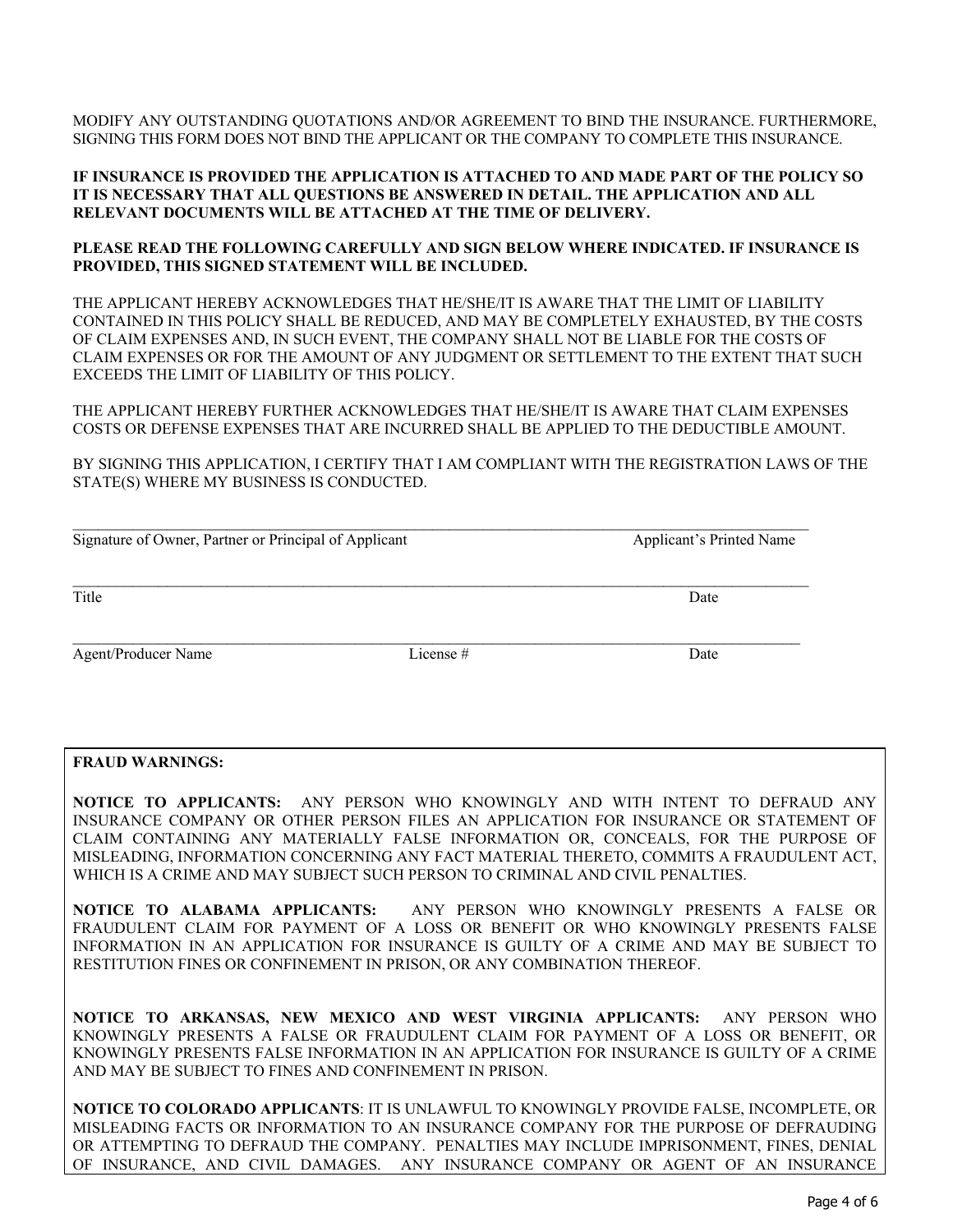MODIFY ANY OUTSTANDING QUOTATIONS AND/OR AGREEMENT TO BIND THE INSURANCE. FURTHERMORE, SIGNING THIS FORM DOES NOT BIND THE APPLICANT OR THE COMPANY TO COMPLETE THIS INSURANCE.

#### **IF INSURANCE IS PROVIDED THE APPLICATION IS ATTACHED TO AND MADE PART OF THE POLICY SO IT IS NECESSARY THAT ALL QUESTIONS BE ANSWERED IN DETAIL. THE APPLICATION AND ALL RELEVANT DOCUMENTS WILL BE ATTACHED AT THE TIME OF DELIVERY.**

#### **PLEASE READ THE FOLLOWING CAREFULLY AND SIGN BELOW WHERE INDICATED. IF INSURANCE IS PROVIDED, THIS SIGNED STATEMENT WILL BE INCLUDED.**

THE APPLICANT HEREBY ACKNOWLEDGES THAT HE/SHE/IT IS AWARE THAT THE LIMIT OF LIABILITY CONTAINED IN THIS POLICY SHALL BE REDUCED, AND MAY BE COMPLETELY EXHAUSTED, BY THE COSTS OF CLAIM EXPENSES AND, IN SUCH EVENT, THE COMPANY SHALL NOT BE LIABLE FOR THE COSTS OF CLAIM EXPENSES OR FOR THE AMOUNT OF ANY JUDGMENT OR SETTLEMENT TO THE EXTENT THAT SUCH EXCEEDS THE LIMIT OF LIABILITY OF THIS POLICY.

THE APPLICANT HEREBY FURTHER ACKNOWLEDGES THAT HE/SHE/IT IS AWARE THAT CLAIM EXPENSES COSTS OR DEFENSE EXPENSES THAT ARE INCURRED SHALL BE APPLIED TO THE DEDUCTIBLE AMOUNT.

BY SIGNING THIS APPLICATION, I CERTIFY THAT I AM COMPLIANT WITH THE REGISTRATION LAWS OF THE STATE(S) WHERE MY BUSINESS IS CONDUCTED.

| Signature of Owner, Partner or Principal of Applicant |          | <b>Applicant's Printed Name</b> |  |
|-------------------------------------------------------|----------|---------------------------------|--|
| Title                                                 |          | Date                            |  |
| <b>Agent/Producer Name</b>                            | License# | Date                            |  |

#### **FRAUD WARNINGS:**

**NOTICE TO APPLICANTS:** ANY PERSON WHO KNOWINGLY AND WITH INTENT TO DEFRAUD ANY INSURANCE COMPANY OR OTHER PERSON FILES AN APPLICATION FOR INSURANCE OR STATEMENT OF CLAIM CONTAINING ANY MATERIALLY FALSE INFORMATION OR, CONCEALS, FOR THE PURPOSE OF MISLEADING, INFORMATION CONCERNING ANY FACT MATERIAL THERETO, COMMITS A FRAUDULENT ACT, WHICH IS A CRIME AND MAY SUBJECT SUCH PERSON TO CRIMINAL AND CIVIL PENALTIES.

**NOTICE TO ALABAMA APPLICANTS:** ANY PERSON WHO KNOWINGLY PRESENTS A FALSE OR FRAUDULENT CLAIM FOR PAYMENT OF A LOSS OR BENEFIT OR WHO KNOWINGLY PRESENTS FALSE INFORMATION IN AN APPLICATION FOR INSURANCE IS GUILTY OF A CRIME AND MAY BE SUBJECT TO RESTITUTION FINES OR CONFINEMENT IN PRISON, OR ANY COMBINATION THEREOF.

**NOTICE TO ARKANSAS, NEW MEXICO AND WEST VIRGINIA APPLICANTS:** ANY PERSON WHO KNOWINGLY PRESENTS A FALSE OR FRAUDULENT CLAIM FOR PAYMENT OF A LOSS OR BENEFIT, OR KNOWINGLY PRESENTS FALSE INFORMATION IN AN APPLICATION FOR INSURANCE IS GUILTY OF A CRIME AND MAY BE SUBJECT TO FINES AND CONFINEMENT IN PRISON.

**NOTICE TO COLORADO APPLICANTS**: IT IS UNLAWFUL TO KNOWINGLY PROVIDE FALSE, INCOMPLETE, OR MISLEADING FACTS OR INFORMATION TO AN INSURANCE COMPANY FOR THE PURPOSE OF DEFRAUDING OR ATTEMPTING TO DEFRAUD THE COMPANY. PENALTIES MAY INCLUDE IMPRISONMENT, FINES, DENIAL OF INSURANCE, AND CIVIL DAMAGES. ANY INSURANCE COMPANY OR AGENT OF AN INSURANCE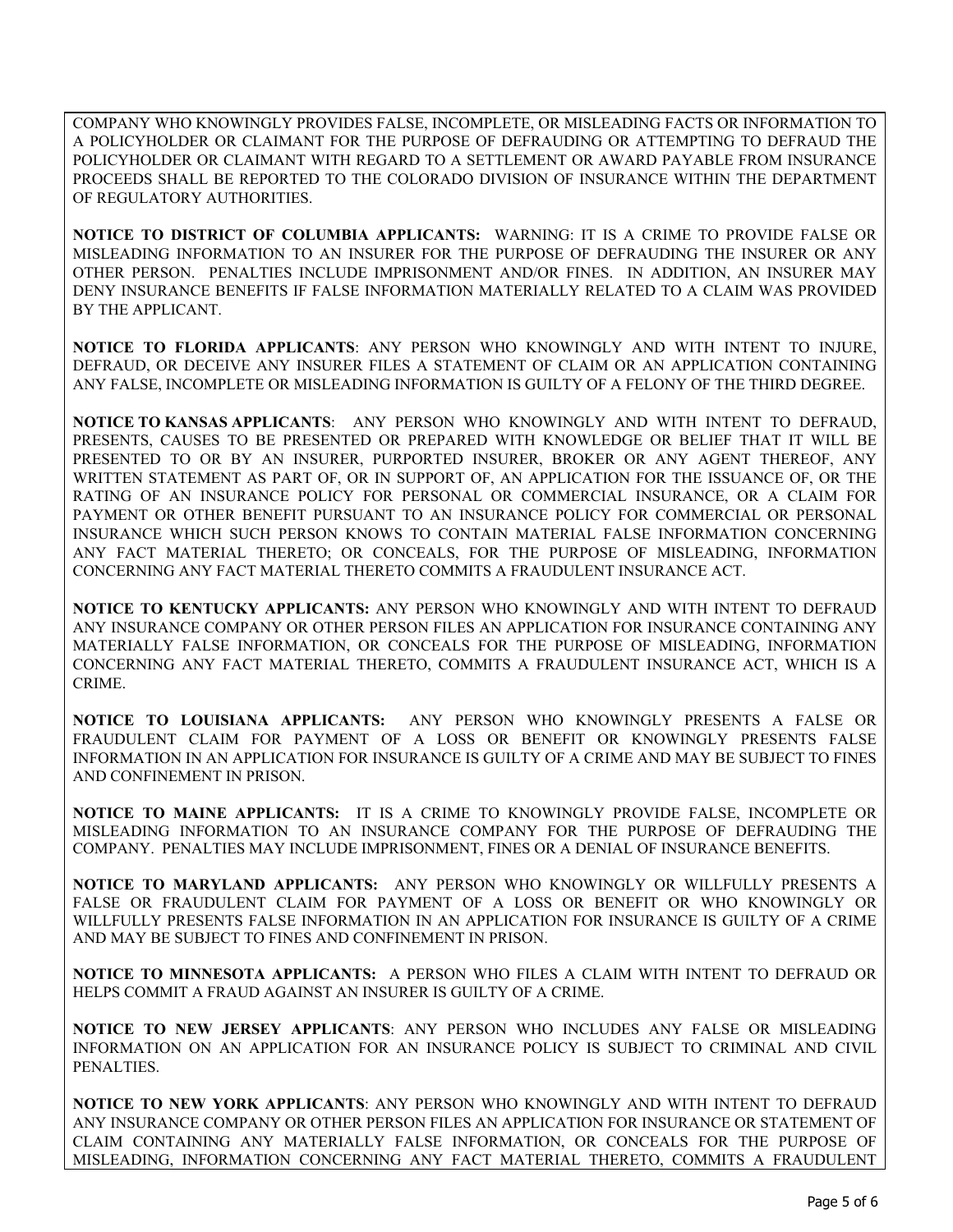COMPANY WHO KNOWINGLY PROVIDES FALSE, INCOMPLETE, OR MISLEADING FACTS OR INFORMATION TO A POLICYHOLDER OR CLAIMANT FOR THE PURPOSE OF DEFRAUDING OR ATTEMPTING TO DEFRAUD THE POLICYHOLDER OR CLAIMANT WITH REGARD TO A SETTLEMENT OR AWARD PAYABLE FROM INSURANCE PROCEEDS SHALL BE REPORTED TO THE COLORADO DIVISION OF INSURANCE WITHIN THE DEPARTMENT OF REGULATORY AUTHORITIES.

**NOTICE TO DISTRICT OF COLUMBIA APPLICANTS:** WARNING: IT IS A CRIME TO PROVIDE FALSE OR MISLEADING INFORMATION TO AN INSURER FOR THE PURPOSE OF DEFRAUDING THE INSURER OR ANY OTHER PERSON. PENALTIES INCLUDE IMPRISONMENT AND/OR FINES. IN ADDITION, AN INSURER MAY DENY INSURANCE BENEFITS IF FALSE INFORMATION MATERIALLY RELATED TO A CLAIM WAS PROVIDED BY THE APPLICANT.

**NOTICE TO FLORIDA APPLICANTS**: ANY PERSON WHO KNOWINGLY AND WITH INTENT TO INJURE, DEFRAUD, OR DECEIVE ANY INSURER FILES A STATEMENT OF CLAIM OR AN APPLICATION CONTAINING ANY FALSE, INCOMPLETE OR MISLEADING INFORMATION IS GUILTY OF A FELONY OF THE THIRD DEGREE.

**NOTICE TO KANSAS APPLICANTS**: ANY PERSON WHO KNOWINGLY AND WITH INTENT TO DEFRAUD, PRESENTS, CAUSES TO BE PRESENTED OR PREPARED WITH KNOWLEDGE OR BELIEF THAT IT WILL BE PRESENTED TO OR BY AN INSURER, PURPORTED INSURER, BROKER OR ANY AGENT THEREOF, ANY WRITTEN STATEMENT AS PART OF, OR IN SUPPORT OF, AN APPLICATION FOR THE ISSUANCE OF, OR THE RATING OF AN INSURANCE POLICY FOR PERSONAL OR COMMERCIAL INSURANCE, OR A CLAIM FOR PAYMENT OR OTHER BENEFIT PURSUANT TO AN INSURANCE POLICY FOR COMMERCIAL OR PERSONAL INSURANCE WHICH SUCH PERSON KNOWS TO CONTAIN MATERIAL FALSE INFORMATION CONCERNING ANY FACT MATERIAL THERETO; OR CONCEALS, FOR THE PURPOSE OF MISLEADING, INFORMATION CONCERNING ANY FACT MATERIAL THERETO COMMITS A FRAUDULENT INSURANCE ACT.

**NOTICE TO KENTUCKY APPLICANTS:** ANY PERSON WHO KNOWINGLY AND WITH INTENT TO DEFRAUD ANY INSURANCE COMPANY OR OTHER PERSON FILES AN APPLICATION FOR INSURANCE CONTAINING ANY MATERIALLY FALSE INFORMATION, OR CONCEALS FOR THE PURPOSE OF MISLEADING, INFORMATION CONCERNING ANY FACT MATERIAL THERETO, COMMITS A FRAUDULENT INSURANCE ACT, WHICH IS A CRIME.

**NOTICE TO LOUISIANA APPLICANTS:** ANY PERSON WHO KNOWINGLY PRESENTS A FALSE OR FRAUDULENT CLAIM FOR PAYMENT OF A LOSS OR BENEFIT OR KNOWINGLY PRESENTS FALSE INFORMATION IN AN APPLICATION FOR INSURANCE IS GUILTY OF A CRIME AND MAY BE SUBJECT TO FINES AND CONFINEMENT IN PRISON.

**NOTICE TO MAINE APPLICANTS:** IT IS A CRIME TO KNOWINGLY PROVIDE FALSE, INCOMPLETE OR MISLEADING INFORMATION TO AN INSURANCE COMPANY FOR THE PURPOSE OF DEFRAUDING THE COMPANY. PENALTIES MAY INCLUDE IMPRISONMENT, FINES OR A DENIAL OF INSURANCE BENEFITS.

**NOTICE TO MARYLAND APPLICANTS:** ANY PERSON WHO KNOWINGLY OR WILLFULLY PRESENTS A FALSE OR FRAUDULENT CLAIM FOR PAYMENT OF A LOSS OR BENEFIT OR WHO KNOWINGLY OR WILLFULLY PRESENTS FALSE INFORMATION IN AN APPLICATION FOR INSURANCE IS GUILTY OF A CRIME AND MAY BE SUBJECT TO FINES AND CONFINEMENT IN PRISON.

**NOTICE TO MINNESOTA APPLICANTS:** A PERSON WHO FILES A CLAIM WITH INTENT TO DEFRAUD OR HELPS COMMIT A FRAUD AGAINST AN INSURER IS GUILTY OF A CRIME.

**NOTICE TO NEW JERSEY APPLICANTS**: ANY PERSON WHO INCLUDES ANY FALSE OR MISLEADING INFORMATION ON AN APPLICATION FOR AN INSURANCE POLICY IS SUBJECT TO CRIMINAL AND CIVIL PENALTIES.

**NOTICE TO NEW YORK APPLICANTS**: ANY PERSON WHO KNOWINGLY AND WITH INTENT TO DEFRAUD ANY INSURANCE COMPANY OR OTHER PERSON FILES AN APPLICATION FOR INSURANCE OR STATEMENT OF CLAIM CONTAINING ANY MATERIALLY FALSE INFORMATION, OR CONCEALS FOR THE PURPOSE OF MISLEADING, INFORMATION CONCERNING ANY FACT MATERIAL THERETO, COMMITS A FRAUDULENT